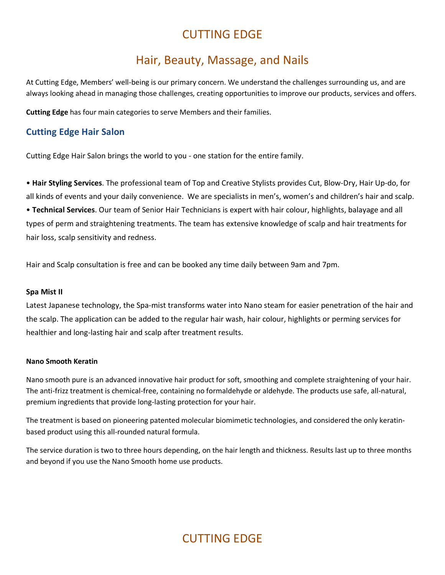# CUTTING EDGE

# Hair, Beauty, Massage, and Nails

At Cutting Edge, Members' well-being is our primary concern. We understand the challenges surrounding us, and are always looking ahead in managing those challenges, creating opportunities to improve our products, services and offers.

**Cutting Edge** has four main categories to serve Members and their families.

### **Cutting Edge Hair Salon**

Cutting Edge Hair Salon brings the world to you - one station for the entire family.

• **Hair Styling Services**. The professional team of Top and Creative Stylists provides Cut, Blow-Dry, Hair Up-do, for all kinds of events and your daily convenience. We are specialists in men's, women's and children's hair and scalp. • **Technical Services**. Our team of Senior Hair Technicians is expert with hair colour, highlights, balayage and all types of perm and straightening treatments. The team has extensive knowledge of scalp and hair treatments for hair loss, scalp sensitivity and redness.

Hair and Scalp consultation is free and can be booked any time daily between 9am and 7pm.

#### **Spa Mist II**

Latest Japanese technology, the Spa-mist transforms water into Nano steam for easier penetration of the hair and the scalp. The application can be added to the regular hair wash, hair colour, highlights or perming services for healthier and long-lasting hair and scalp after treatment results.

#### **Nano Smooth Keratin**

Nano smooth pure is an advanced innovative hair product for soft, smoothing and complete straightening of your hair. The anti-frizz treatment is chemical-free, containing no formaldehyde or aldehyde. The products use safe, all-natural, premium ingredients that provide long-lasting protection for your hair.

The treatment is based on pioneering patented molecular biomimetic technologies, and considered the only keratinbased product using this all-rounded natural formula.

The service duration is two to three hours depending, on the hair length and thickness. Results last up to three months and beyond if you use the Nano Smooth home use products.

# CUTTING EDGE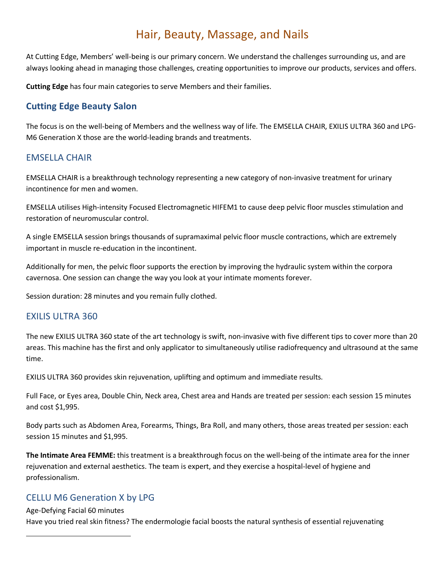## Hair, Beauty, Massage, and Nails

At Cutting Edge, Members' well-being is our primary concern. We understand the challenges surrounding us, and are always looking ahead in managing those challenges, creating opportunities to improve our products, services and offers.

**Cutting Edge** has four main categories to serve Members and their families.

## **Cutting Edge Beauty Salon**

The focus is on the well-being of Members and the wellness way of life. The EMSELLA CHAIR, EXILIS ULTRA 360 and LPG-M6 Generation X those are the world-leading brands and treatments.

## EMSELLA CHAIR

EMSELLA CHAIR is a breakthrough technology representing a new category of non-invasive treatment for urinary incontinence for men and women.

EMSELLA utilises High-intensity Focused Electromagnetic HIFEM1 to cause deep pelvic floor muscles stimulation and restoration of neuromuscular control.

A single EMSELLA session brings thousands of supramaximal pelvic floor muscle contractions, which are extremely important in muscle re-education in the incontinent.

Additionally for men, the pelvic floor supports the erection by improving the hydraulic system within the corpora cavernosa. One session can change the way you look at your intimate moments forever.

Session duration: 28 minutes and you remain fully clothed.

#### EXILIS ULTRA 360

The new EXILIS ULTRA 360 state of the art technology is swift, non-invasive with five different tips to cover more than 20 areas. This machine has the first and only applicator to simultaneously utilise radiofrequency and ultrasound at the same time.

EXILIS ULTRA 360 provides skin rejuvenation, uplifting and optimum and immediate results.

Full Face, or Eyes area, Double Chin, Neck area, Chest area and Hands are treated per session: each session 15 minutes and cost \$1,995.

Body parts such as Abdomen Area, Forearms, Things, Bra Roll, and many others, those areas treated per session: each session 15 minutes and \$1,995.

**The Intimate Area FEMME:** this treatment is a breakthrough focus on the well-being of the intimate area for the inner rejuvenation and external aesthetics. The team is expert, and they exercise a hospital-level of hygiene and professionalism.

#### CELLU M6 Generation X by LPG

#### Age-Defying Facial 60 minutes

Have you tried real skin fitness? The endermologie facial boosts the natural synthesis of essential rejuvenating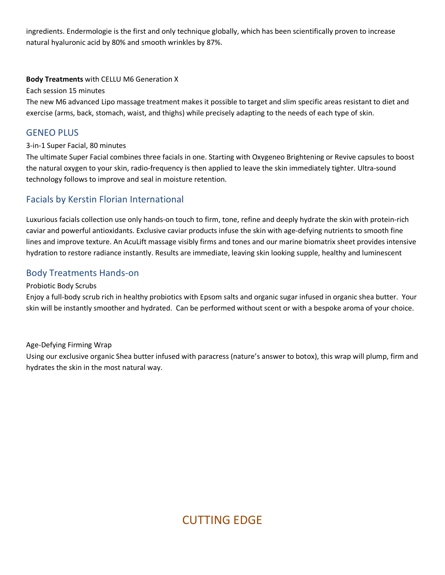ingredients. Endermologie is the first and only technique globally, which has been scientifically proven to increase natural hyaluronic acid by 80% and smooth wrinkles by 87%.

#### **Body Treatments** with CELLU M6 Generation X

Each session 15 minutes

The new M6 advanced Lipo massage treatment makes it possible to target and slim specific areas resistant to diet and exercise (arms, back, stomach, waist, and thighs) while precisely adapting to the needs of each type of skin.

## GENEO PLUS

#### 3-in-1 Super Facial, 80 minutes

The ultimate Super Facial combines three facials in one. Starting with Oxygeneo Brightening or Revive capsules to boost the natural oxygen to your skin, radio-frequency is then applied to leave the skin immediately tighter. Ultra-sound technology follows to improve and seal in moisture retention.

## Facials by Kerstin Florian International

Luxurious facials collection use only hands-on touch to firm, tone, refine and deeply hydrate the skin with protein-rich caviar and powerful antioxidants. Exclusive caviar products infuse the skin with age-defying nutrients to smooth fine lines and improve texture. An AcuLift massage visibly firms and tones and our marine biomatrix sheet provides intensive hydration to restore radiance instantly. Results are immediate, leaving skin looking supple, healthy and luminescent

## Body Treatments Hands-on

#### Probiotic Body Scrubs

Enjoy a full-body scrub rich in healthy probiotics with Epsom salts and organic sugar infused in organic shea butter. Your skin will be instantly smoother and hydrated. Can be performed without scent or with a bespoke aroma of your choice.

Age-Defying Firming Wrap

Using our exclusive organic Shea butter infused with paracress (nature's answer to botox), this wrap will plump, firm and hydrates the skin in the most natural way.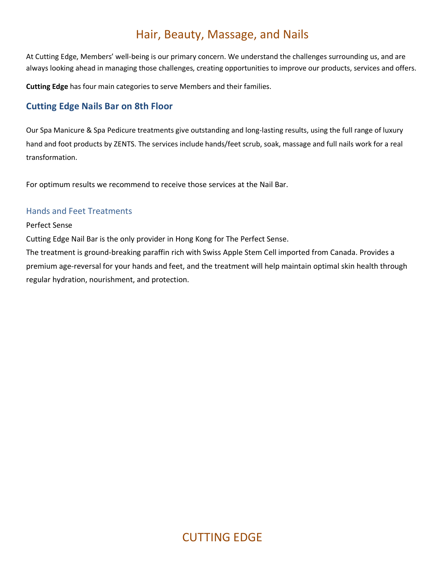## Hair, Beauty, Massage, and Nails

At Cutting Edge, Members' well-being is our primary concern. We understand the challenges surrounding us, and are always looking ahead in managing those challenges, creating opportunities to improve our products, services and offers.

**Cutting Edge** has four main categories to serve Members and their families.

## **Cutting Edge Nails Bar on 8th Floor**

Our Spa Manicure & Spa Pedicure treatments give outstanding and long-lasting results, using the full range of luxury hand and foot products by ZENTS. The services include hands/feet scrub, soak, massage and full nails work for a real transformation.

For optimum results we recommend to receive those services at the Nail Bar.

#### Hands and Feet Treatments

#### Perfect Sense

Cutting Edge Nail Bar is the only provider in Hong Kong for The Perfect Sense.

The treatment is ground-breaking paraffin rich with Swiss Apple Stem Cell imported from Canada. Provides a premium age-reversal for your hands and feet, and the treatment will help maintain optimal skin health through regular hydration, nourishment, and protection.